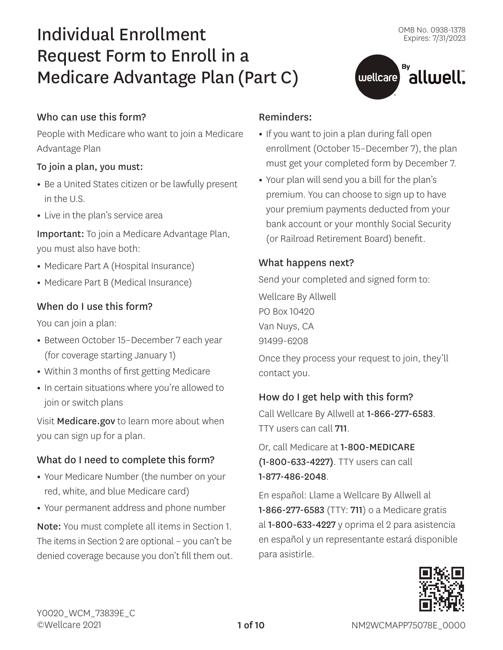állwell.

# Individual Enrollment Request Form to Enroll in a Medicare Advantage Plan (Part C)

#### Who can use this form?

People with Medicare who want to join a Medicare Advantage Plan

#### To join a plan, you must:

- **•** Be a United States citizen or be lawfully present in the U.S.
- **•** Live in the plan's service area

Important: To join a Medicare Advantage Plan, you must also have both:

- **•** Medicare Part A (Hospital Insurance)
- **•** Medicare Part B (Medical Insurance)

## When do I use this form?

You can join a plan:

- **•** Between October 15–December 7 each year (for coverage starting January 1)
- **•** Within 3 months of first getting Medicare
- **•** In certain situations where you're allowed to join or switch plans

Visit [Medicare.gov](http://Medicare.gov) to learn more about when you can sign up for a plan.

## What do I need to complete this form?

- **•** Your Medicare Number (the number on your red, white, and blue Medicare card)
- **•** Your permanent address and phone number

Note: You must complete all items in Section 1. The items in Section 2 are optional – you can't be denied coverage because you don't fill them out.

#### Reminders:

**•** If you want to join a plan during fall open enrollment (October 15–December 7), the plan must get your completed form by December 7.

 $\left($  wellcare  $\right)$ 

**•** Your plan will send you a bill for the plan's premium. You can choose to sign up to have your premium payments deducted from your bank account or your monthly Social Security (or Railroad Retirement Board) benefit.

#### What happens next?

Send your completed and signed form to: Wellcare By Allwell PO Box 10420 Van Nuys, CA

91499-6208

Once they process your request to join, they'll contact you.

## How do I get help with this form?

Call Wellcare By Allwell at 1-866-277-6583. TTY users can call 711.

Or, call Medicare at 1-800-MEDICARE (1-800-633-4227). TTY users can call 1-877-486-2048.

En español: Llame a Wellcare By Allwell al 1-866-277-6583 (TTY: 711) o a Medicare gratis al 1-800-633-4227 y oprima el 2 para asistencia en español y un representante estará disponible para asistirle.

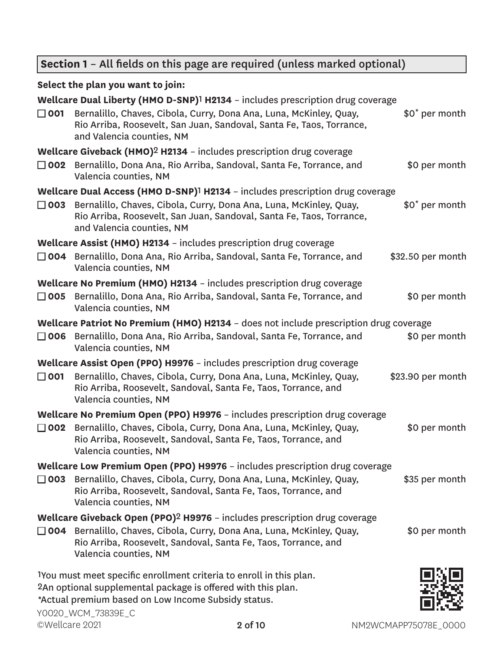# **Section 1** – All fields on this page are required (unless marked optional)

## **Select the plan you want to join:**

| $\Box$ 001    | Wellcare Dual Liberty (HMO D-SNP) <sup>1</sup> H2134 - includes prescription drug coverage<br>Bernalillo, Chaves, Cibola, Curry, Dona Ana, Luna, McKinley, Quay,<br>Rio Arriba, Roosevelt, San Juan, Sandoval, Santa Fe, Taos, Torrance,<br>and Valencia counties, NM | \$0 <sup>*</sup> per month |
|---------------|-----------------------------------------------------------------------------------------------------------------------------------------------------------------------------------------------------------------------------------------------------------------------|----------------------------|
| $\square$ 002 | <b>Wellcare Giveback (HMO)<sup>2</sup> H2134</b> - includes prescription drug coverage<br>Bernalillo, Dona Ana, Rio Arriba, Sandoval, Santa Fe, Torrance, and<br>Valencia counties, NM                                                                                | \$0 per month              |
| $\square$ 003 | Wellcare Dual Access (HMO D-SNP) <sup>1</sup> H2134 - includes prescription drug coverage<br>Bernalillo, Chaves, Cibola, Curry, Dona Ana, Luna, McKinley, Quay,<br>Rio Arriba, Roosevelt, San Juan, Sandoval, Santa Fe, Taos, Torrance,<br>and Valencia counties, NM  | \$0 <sup>*</sup> per month |
|               | Wellcare Assist (HMO) H2134 - includes prescription drug coverage<br>□ 004 Bernalillo, Dona Ana, Rio Arriba, Sandoval, Santa Fe, Torrance, and<br>Valencia counties, NM                                                                                               | \$32.50 per month          |
| $\square$ 005 | Wellcare No Premium (HMO) H2134 - includes prescription drug coverage<br>Bernalillo, Dona Ana, Rio Arriba, Sandoval, Santa Fe, Torrance, and<br>Valencia counties, NM                                                                                                 | \$0 per month              |
|               | Wellcare Patriot No Premium (HMO) H2134 - does not include prescription drug coverage<br>□ 006 Bernalillo, Dona Ana, Rio Arriba, Sandoval, Santa Fe, Torrance, and<br>Valencia counties, NM                                                                           | \$0 per month              |
| $\square$ 001 | Wellcare Assist Open (PPO) H9976 - includes prescription drug coverage<br>Bernalillo, Chaves, Cibola, Curry, Dona Ana, Luna, McKinley, Quay,<br>Rio Arriba, Roosevelt, Sandoval, Santa Fe, Taos, Torrance, and<br>Valencia counties, NM                               | \$23.90 per month          |
| $\square$ 002 | Wellcare No Premium Open (PPO) H9976 - includes prescription drug coverage<br>Bernalillo, Chaves, Cibola, Curry, Dona Ana, Luna, McKinley, Quay,<br>Rio Arriba, Roosevelt, Sandoval, Santa Fe, Taos, Torrance, and<br>Valencia counties, NM                           | \$0 per month              |
| $\square$ 003 | Wellcare Low Premium Open (PPO) H9976 - includes prescription drug coverage<br>Bernalillo, Chaves, Cibola, Curry, Dona Ana, Luna, McKinley, Quay,<br>Rio Arriba, Roosevelt, Sandoval, Santa Fe, Taos, Torrance, and<br>Valencia counties, NM                          | \$35 per month             |
| $\Box$ 004    | Wellcare Giveback Open (PPO) <sup>2</sup> H9976 - includes prescription drug coverage<br>Bernalillo, Chaves, Cibola, Curry, Dona Ana, Luna, McKinley, Quay,<br>Rio Arriba, Roosevelt, Sandoval, Santa Fe, Taos, Torrance, and<br>Valencia counties, NM                | \$0 per month              |
|               | 1You must meet specific enrollment criteria to enroll in this plan.<br>2An optional supplemental package is offered with this plan.<br>*Actual premium based on Low Income Subsidy status.                                                                            |                            |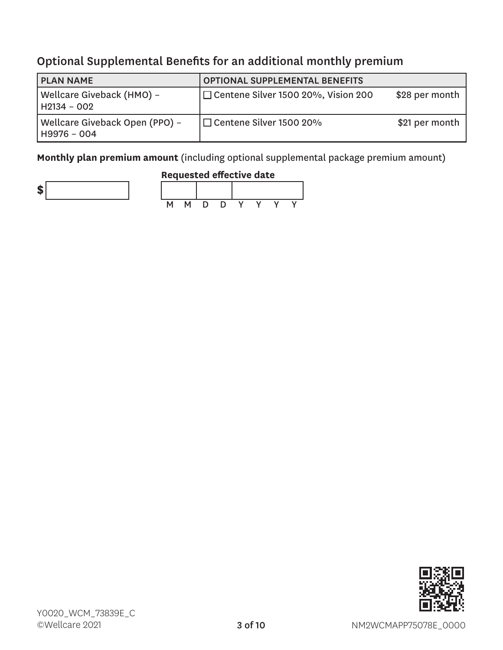# Optional Supplemental Benefits for an additional monthly premium

| <b>PLAN NAME</b>                              | <b>OPTIONAL SUPPLEMENTAL BENEFITS</b> |                |
|-----------------------------------------------|---------------------------------------|----------------|
| Wellcare Giveback (HMO) -<br>H2134 - 002      | □ Centene Silver 1500 20%, Vision 200 | \$28 per month |
| Wellcare Giveback Open (PPO) -<br>H9976 – 004 | $\Box$ Centene Silver 1500 20%        | \$21 per month |

**Monthly plan premium amount** (including optional supplemental package premium amount)







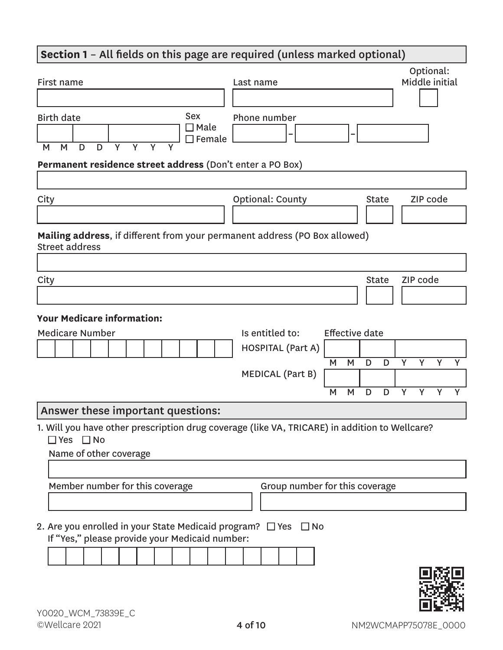# **Section 1** – All fields on this page are required (unless marked optional) First name Last name Optional: Middle initial Birth date M M D D Y Y Y Y Sex ■ Male  $\Box$  Female Phone number **– – Permanent residence street address** (Don't enter a PO Box) City City City Context County City City City City City City City Code **Mailing address**, if different from your permanent address (PO Box allowed) Street address City and the Community of the Community of the Community of the Community of the Community of the Community of **Your Medicare information:** Medicare Number **Is entitled to:** Effective date HOSPITAL (Part A) M M D D Y Y Y Y MEDICAL (Part B) M M D D Y Y Y Y Answer these important questions: 1. Will you have other prescription drug coverage (like VA, TRICARE) in addition to Wellcare? ■ Yes ■ No Name of other coverage

Member number for this coverage Group number for this coverage 2. Are you enrolled in your State Medicaid program?  $\Box$  Yes  $\Box$  No

If "Yes," please provide your Medicaid number:

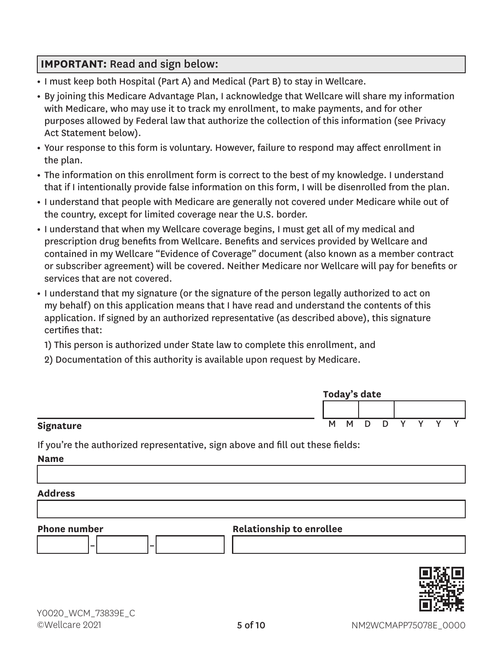## **IMPORTANT:** Read and sign below:

- **•** I must keep both Hospital (Part A) and Medical (Part B) to stay in Wellcare.
- **•** By joining this Medicare Advantage Plan, I acknowledge that Wellcare will share my information with Medicare, who may use it to track my enrollment, to make payments, and for other purposes allowed by Federal law that authorize the collection of this information (see Privacy Act Statement below).
- **•** Your response to this form is voluntary. However, failure to respond may affect enrollment in the plan.
- **•** The information on this enrollment form is correct to the best of my knowledge. I understand that if I intentionally provide false information on this form, I will be disenrolled from the plan.
- **•** I understand that people with Medicare are generally not covered under Medicare while out of the country, except for limited coverage near the U.S. border.
- **•** I understand that when my Wellcare coverage begins, I must get all of my medical and prescription drug benefits from Wellcare. Benefits and services provided by Wellcare and contained in my Wellcare "Evidence of Coverage" document (also known as a member contract or subscriber agreement) will be covered. Neither Medicare nor Wellcare will pay for benefits or services that are not covered.
- **•** I understand that my signature (or the signature of the person legally authorized to act on my behalf) on this application means that I have read and understand the contents of this application. If signed by an authorized representative (as described above), this signature certifies that:

1) This person is authorized under State law to complete this enrollment, and

2) Documentation of this authority is available upon request by Medicare.

|           | Today's date |     |        |   |              |  |  |  |
|-----------|--------------|-----|--------|---|--------------|--|--|--|
|           |              |     |        |   |              |  |  |  |
| Signature |              | M M | $\Box$ | D | $\checkmark$ |  |  |  |

If you're the authorized representative, sign above and fill out these fields:

**Name**

#### **Address**

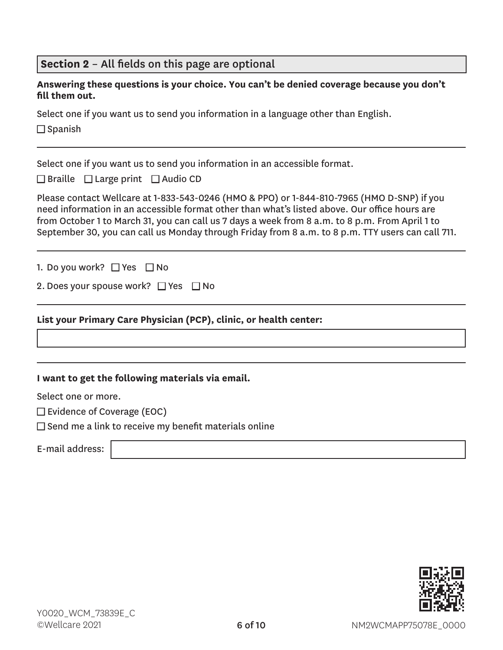| Section 2 - All fields on this page are optional                                                                                                                                                                                                                                                                                                                                                    |  |  |  |  |  |
|-----------------------------------------------------------------------------------------------------------------------------------------------------------------------------------------------------------------------------------------------------------------------------------------------------------------------------------------------------------------------------------------------------|--|--|--|--|--|
| Answering these questions is your choice. You can't be denied coverage because you don't<br>fill them out.                                                                                                                                                                                                                                                                                          |  |  |  |  |  |
| Select one if you want us to send you information in a language other than English.                                                                                                                                                                                                                                                                                                                 |  |  |  |  |  |
| $\Box$ Spanish                                                                                                                                                                                                                                                                                                                                                                                      |  |  |  |  |  |
|                                                                                                                                                                                                                                                                                                                                                                                                     |  |  |  |  |  |
| Select one if you want us to send you information in an accessible format.                                                                                                                                                                                                                                                                                                                          |  |  |  |  |  |
| $\Box$ Braille $\Box$ Large print $\Box$ Audio CD                                                                                                                                                                                                                                                                                                                                                   |  |  |  |  |  |
| Please contact Wellcare at 1-833-543-0246 (HMO & PPO) or 1-844-810-7965 (HMO D-SNP) if you<br>need information in an accessible format other than what's listed above. Our office hours are<br>from October 1 to March 31, you can call us 7 days a week from 8 a.m. to 8 p.m. From April 1 to<br>September 30, you can call us Monday through Friday from 8 a.m. to 8 p.m. TTY users can call 711. |  |  |  |  |  |
| 1. Do you work? □ Yes □ No                                                                                                                                                                                                                                                                                                                                                                          |  |  |  |  |  |
| 2. Does your spouse work? $\Box$ Yes $\Box$ No                                                                                                                                                                                                                                                                                                                                                      |  |  |  |  |  |
| List your Primary Care Physician (PCP), clinic, or health center:                                                                                                                                                                                                                                                                                                                                   |  |  |  |  |  |
|                                                                                                                                                                                                                                                                                                                                                                                                     |  |  |  |  |  |
|                                                                                                                                                                                                                                                                                                                                                                                                     |  |  |  |  |  |
| I want to get the following materials via email.                                                                                                                                                                                                                                                                                                                                                    |  |  |  |  |  |
| Select one or more.                                                                                                                                                                                                                                                                                                                                                                                 |  |  |  |  |  |
| $\square$ Evidence of Coverage (EOC)                                                                                                                                                                                                                                                                                                                                                                |  |  |  |  |  |
| $\Box$ Send me a link to receive my benefit materials online                                                                                                                                                                                                                                                                                                                                        |  |  |  |  |  |

E-mail address: |



<u> 1980 - Johann Barbara, martxa alemaniar a</u>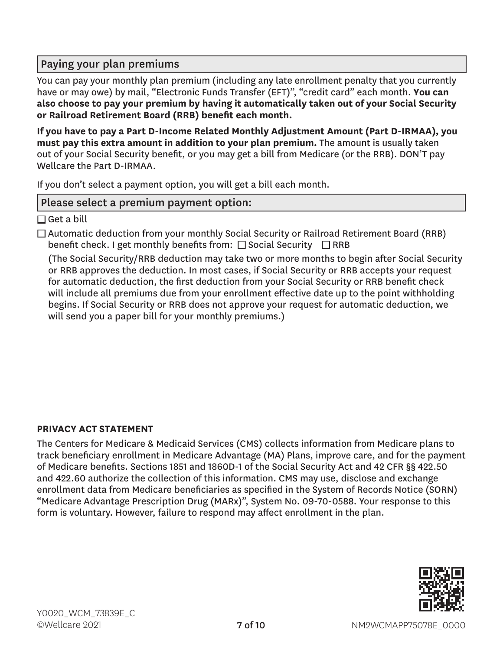# Paying your plan premiums

You can pay your monthly plan premium (including any late enrollment penalty that you currently have or may owe) by mail, "Electronic Funds Transfer (EFT)", "credit card" each month. **You can also choose to pay your premium by having it automatically taken out of your Social Security or Railroad Retirement Board (RRB) benefit each month.**

**If you have to pay a Part D-Income Related Monthly Adjustment Amount (Part D-IRMAA), you must pay this extra amount in addition to your plan premium.** The amount is usually taken out of your Social Security benefit, or you may get a bill from Medicare (or the RRB). DON'T pay Wellcare the Part D-IRMAA.

If you don't select a payment option, you will get a bill each month.

#### Please select a premium payment option:

 $\Box$  Get a bill

 $\Box$  Automatic deduction from your monthly Social Security or Railroad Retirement Board (RRB) benefit check. I get monthly benefits from:  $\square$  Social Security  $\square$  RRB

(The Social Security/RRB deduction may take two or more months to begin after Social Security or RRB approves the deduction. In most cases, if Social Security or RRB accepts your request for automatic deduction, the first deduction from your Social Security or RRB benefit check will include all premiums due from your enrollment effective date up to the point withholding begins. If Social Security or RRB does not approve your request for automatic deduction, we will send you a paper bill for your monthly premiums.)

#### **PRIVACY ACT STATEMENT**

The Centers for Medicare & Medicaid Services (CMS) collects information from Medicare plans to track beneficiary enrollment in Medicare Advantage (MA) Plans, improve care, and for the payment of Medicare benefits. Sections 1851 and 1860D-1 of the Social Security Act and 42 CFR §§ 422.50 and 422.60 authorize the collection of this information. CMS may use, disclose and exchange enrollment data from Medicare beneficiaries as specified in the System of Records Notice (SORN) "Medicare Advantage Prescription Drug (MARx)", System No. 09-70-0588. Your response to this form is voluntary. However, failure to respond may affect enrollment in the plan.

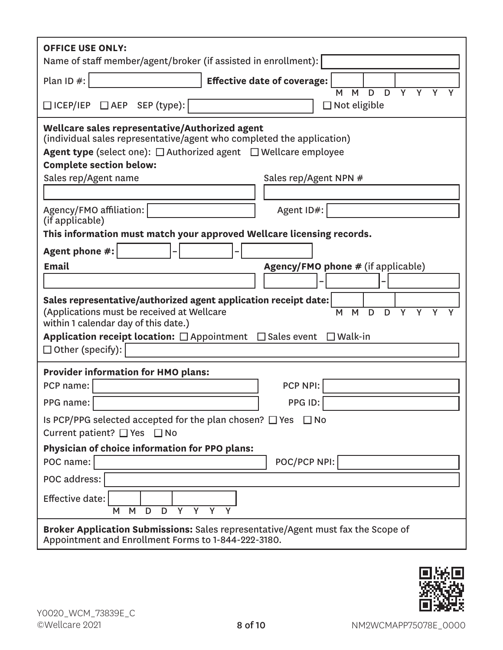| <b>OFFICE USE ONLY:</b><br>Name of staff member/agent/broker (if assisted in enrollment):                                                                                                                                                                                                                  |  |  |  |  |
|------------------------------------------------------------------------------------------------------------------------------------------------------------------------------------------------------------------------------------------------------------------------------------------------------------|--|--|--|--|
| Plan ID $#$ :<br><b>Effective date of coverage:</b><br>$\overline{Y}$<br>$\overline{D}$<br>$\overline{Y}$<br>M<br>D<br>M                                                                                                                                                                                   |  |  |  |  |
| □ ICEP/IEP □ AEP SEP (type):<br>$\Box$ Not eligible                                                                                                                                                                                                                                                        |  |  |  |  |
| Wellcare sales representative/Authorized agent<br>(individual sales representative/agent who completed the application)<br><b>Agent type</b> (select one): $\Box$ Authorized agent $\Box$ Wellcare employee<br><b>Complete section below:</b><br>Sales rep/Agent name<br>Sales rep/Agent NPN #             |  |  |  |  |
| Agent ID#:<br>Agency/FMO affiliation:<br>(if applicable)                                                                                                                                                                                                                                                   |  |  |  |  |
| This information must match your approved Wellcare licensing records.                                                                                                                                                                                                                                      |  |  |  |  |
| Agent phone #:                                                                                                                                                                                                                                                                                             |  |  |  |  |
| <b>Email</b><br><b>Agency/FMO phone # (if applicable)</b>                                                                                                                                                                                                                                                  |  |  |  |  |
|                                                                                                                                                                                                                                                                                                            |  |  |  |  |
| Sales representative/authorized agent application receipt date:<br>(Applications must be received at Wellcare<br>M<br>D<br>Y<br>M<br>D<br>Υ<br>within 1 calendar day of this date.)<br>Application receipt location: $\Box$ Appointment $\Box$ Sales event<br>$\square$ Walk-in<br>$\Box$ Other (specify): |  |  |  |  |
| <b>Provider information for HMO plans:</b>                                                                                                                                                                                                                                                                 |  |  |  |  |
| PCP NPI:<br>PCP name:                                                                                                                                                                                                                                                                                      |  |  |  |  |
| PPG ID:<br>PPG name:                                                                                                                                                                                                                                                                                       |  |  |  |  |
| Is PCP/PPG selected accepted for the plan chosen? $\Box$ Yes $\Box$ No<br>Current patient? □ Yes □ No                                                                                                                                                                                                      |  |  |  |  |
| Physician of choice information for PPO plans:                                                                                                                                                                                                                                                             |  |  |  |  |
| POC/PCP NPI:<br>POC name:                                                                                                                                                                                                                                                                                  |  |  |  |  |
| POC address:                                                                                                                                                                                                                                                                                               |  |  |  |  |
| Effective date:<br>M<br>D<br>Y<br>Y<br>Y<br>M<br>D                                                                                                                                                                                                                                                         |  |  |  |  |
| <b>Broker Application Submissions:</b> Sales representative/Agent must fax the Scope of<br>Appointment and Enrollment Forms to 1-844-222-3180.                                                                                                                                                             |  |  |  |  |

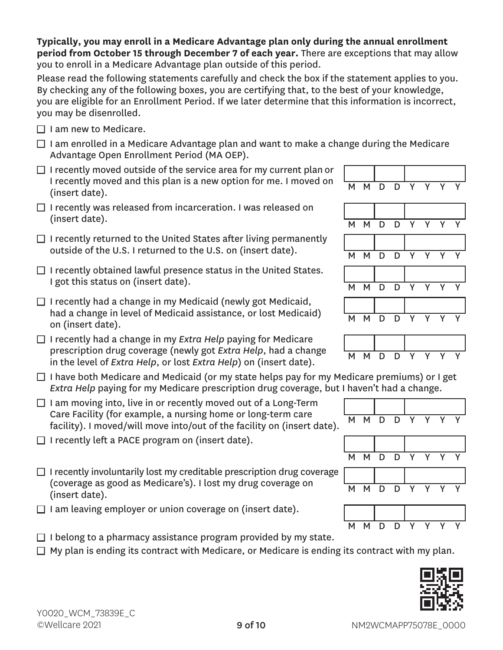#### **Typically, you may enroll in a Medicare Advantage plan only during the annual enrollment period from October 15 through December 7 of each year.** There are exceptions that may allow you to enroll in a Medicare Advantage plan outside of this period.

Please read the following statements carefully and check the box if the statement applies to you. By checking any of the following boxes, you are certifying that, to the best of your knowledge, you are eligible for an Enrollment Period. If we later determine that this information is incorrect, you may be disenrolled.

- $\Box$  I am new to Medicare.
- $\Box$  I am enrolled in a Medicare Advantage plan and want to make a change during the Medicare Advantage Open Enrollment Period (MA OEP).
- $\Box$  I recently moved outside of the service area for my current plan or I recently moved and this plan is a new option for me. I moved on  $\begin{array}{|l|} \hline \text{M} & \text{M} & \text{D} & \text{D} & \text{Y} & \text{Y} & \text{Y} & \text{Y} \ \hline \text{(insert date)}. \hline \end{array}$
- $\Box$  I recently was released from incarceration. I was released on (insert date).  $\begin{array}{ccccccc}\n& & & & & & & \n\hline\n& & & & & & & & \n\end{array}$  M M D D Y Y Y Y
- $\Box$  I recently returned to the United States after living permanently outside of the U.S. I returned to the U.S. on (insert date).  $M \times N$   $N \times N$
- $\Box$  I recently obtained lawful presence status in the United States. I got this status on (insert date).  $M \cup N$  M  $N \cup N$  D
- $\Box$  I recently had a change in my Medicaid (newly got Medicaid, had a change in level of Medicaid assistance, or lost Medicaid) <br>on (insert date). M M D D Y Y Y Y
- □ I recently had a change in my *Extra Help* paying for Medicare prescription drug coverage (newly got *Extra Help*, had a change prescription and *coverage* (newly got *Extra Help*, had a change MMMDD D<br>in the level of *Extra Help*, or lost *Extra Help*) on (insert date).
- $\Box$  I have both Medicare and Medicaid (or my state helps pay for my Medicare premiums) or I get *Extra Help* paying for my Medicare prescription drug coverage, but I haven't had a change.
- $\Box$  I am moving into, live in or recently moved out of a Long-Term Care Facility (for example, a nursing home or long-term care Care ractity (for example, a hursing nome of long-term care  $\overline{M}$  M D D Y Y Y Y  $\overline{Y}$  facility). I moved/will move into/out of the facility on (insert date).
- $\Box$  I recently left a PACE program on (insert date).
- $\Box$  I recently involuntarily lost my creditable prescription drug coverage (coverage as good as Medicare's). I lost my drug coverage on <br>(insert date). M M D D Y Y Y Y
- $\Box$  I am leaving employer or union coverage on (insert date).
- $\Box$  I belong to a pharmacy assistance program provided by my state.
- $\Box$  My plan is ending its contract with Medicare, or Medicare is ending its contract with my plan.

9 of 10